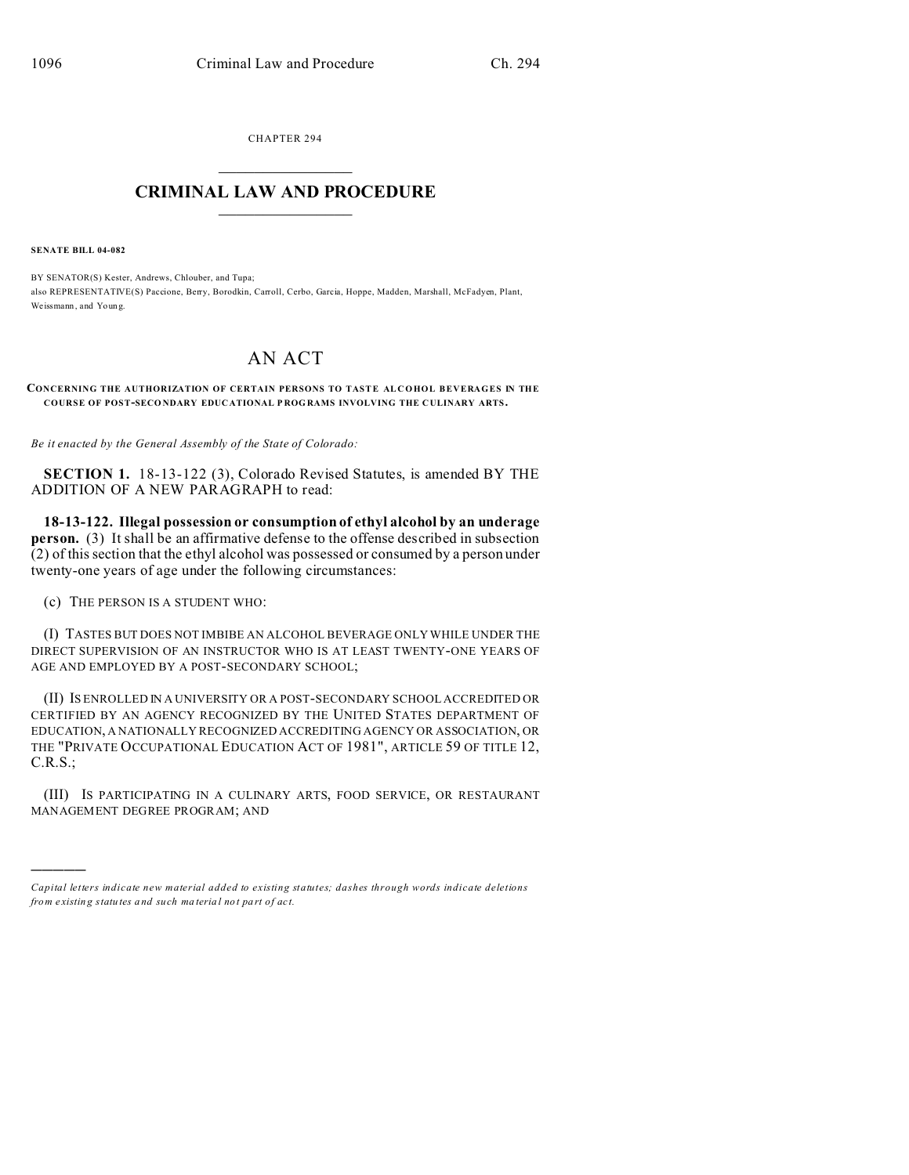CHAPTER 294  $\overline{\phantom{a}}$  , where  $\overline{\phantom{a}}$ 

## **CRIMINAL LAW AND PROCEDURE**  $\_$   $\_$   $\_$   $\_$   $\_$   $\_$   $\_$   $\_$   $\_$

**SENATE BILL 04-082**

)))))

BY SENATOR(S) Kester, Andrews, Chlouber, and Tupa; also REPRESENTATIVE(S) Paccione, Berry, Borodkin, Carroll, Cerbo, Garcia, Hoppe, Madden, Marshall, McFadyen, Plant, We issmann , and Youn g.

## AN ACT

**CONCERNING THE AUTHORIZATION OF CERTAIN PERSONS TO TASTE ALCOHOL BEVERAGES IN THE COURSE OF POST-SECO NDARY EDUC ATIONAL P ROG RAMS INVOLVING THE C ULINARY ARTS.**

*Be it enacted by the General Assembly of the State of Colorado:*

**SECTION 1.** 18-13-122 (3), Colorado Revised Statutes, is amended BY THE ADDITION OF A NEW PARAGRAPH to read:

**18-13-122. Illegal possession or consumption of ethyl alcohol by an underage person.** (3) It shall be an affirmative defense to the offense described in subsection (2) of this section that the ethyl alcohol was possessed or consumed by a person under twenty-one years of age under the following circumstances:

(c) THE PERSON IS A STUDENT WHO:

(I) TASTES BUT DOES NOT IMBIBE AN ALCOHOL BEVERAGE ONLY WHILE UNDER THE DIRECT SUPERVISION OF AN INSTRUCTOR WHO IS AT LEAST TWENTY-ONE YEARS OF AGE AND EMPLOYED BY A POST-SECONDARY SCHOOL;

(II) IS ENROLLED IN A UNIVERSITY OR A POST-SECONDARY SCHOOL ACCREDITED OR CERTIFIED BY AN AGENCY RECOGNIZED BY THE UNITED STATES DEPARTMENT OF EDUCATION, A NATIONALLY RECOGNIZED ACCREDITING AGENCY OR ASSOCIATION, OR THE "PRIVATE OCCUPATIONAL EDUCATION ACT OF 1981", ARTICLE 59 OF TITLE 12, C.R.S.;

(III) IS PARTICIPATING IN A CULINARY ARTS, FOOD SERVICE, OR RESTAURANT MANAGEMENT DEGREE PROGRAM; AND

*Capital letters indicate new material added to existing statutes; dashes through words indicate deletions from e xistin g statu tes a nd such ma teria l no t pa rt of ac t.*